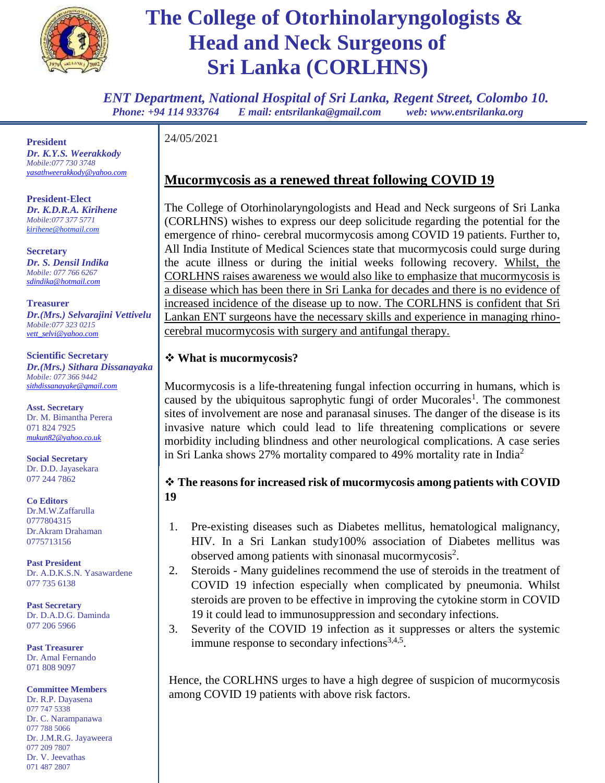

*ENT Department, National Hospital of Sri Lanka, Regent Street, Colombo 10. Phone: +94 114 933764 E mail: entsrilanka@gmail.com web: www.entsrilanka.org*

**President** *Dr. K.Y.S. Weerakkody Mobile:077 730 3748 [yasathweerakkody@yahoo.com](mailto:yasathweerakkody@yahoo.com)* 

**President-Elect** *Dr. K.D.R.A. Kirihene Mobile:077 377 5771 kirihene@hotmail.com*

**Secretary** *Dr. S. Densil Indika Mobile: 077 766 6267 [sdindika@hotmail.com](mailto:sdindika@hotmail.com)*

**Treasurer** *Dr.(Mrs.) Selvarajini Vettivelu Mobile:077 323 0215 [vett\\_selvi@yahoo.com](mailto:vett_selvi@yahoo.com)*

**Scientific Secretary** *Dr.(Mrs.) Sithara Dissanayaka Mobile: 077 366 9442 [sithdissanayake@gmail.com](mailto:sithdissanayake@gmail.com)*

**Asst. Secretary** Dr. M. Bimantha Perera 071 824 7925 *mukun82@yahoo.co.uk*

**Social Secretary** Dr. D.D. Jayasekara 077 244 7862

**Co Editors** Dr.M.W.Zaffarulla 0777804315 Dr.Akram Drahaman 0775713156

**Past President** Dr. A.D.K.S.N. Yasawardene 077 735 6138

**Past Secretary** Dr. D.A.D.G. Daminda 077 206 5966

**Past Treasurer** Dr. Amal Fernando 071 808 9097

**Committee Members**

Dr. R.P. Dayasena 077 747 5338 Dr. C. Narampanawa 077 788 5066 Dr. J.M.R.G. Jayaweera 077 209 7807 Dr. V. Jeevathas 071 487 2807

24/05/2021

### **Mucormycosis as a renewed threat following COVID 19**

The College of Otorhinolaryngologists and Head and Neck surgeons of Sri Lanka (CORLHNS) wishes to express our deep solicitude regarding the potential for the emergence of rhino- cerebral mucormycosis among COVID 19 patients. Further to, All India Institute of Medical Sciences state that mucormycosis could surge during the acute illness or during the initial weeks following recovery. Whilst, the CORLHNS raises awareness we would also like to emphasize that mucormycosis is a disease which has been there in Sri Lanka for decades and there is no evidence of increased incidence of the disease up to now. The CORLHNS is confident that Sri Lankan ENT surgeons have the necessary skills and experience in managing rhinocerebral mucormycosis with surgery and antifungal therapy.

#### **What is mucormycosis?**

Mucormycosis is a life-threatening fungal infection occurring in humans, which is caused by the ubiquitous saprophytic fungi of order Mucorales<sup>1</sup>. The commonest sites of involvement are nose and paranasal sinuses. The danger of the disease is its invasive nature which could lead to life threatening complications or severe morbidity including blindness and other neurological complications. A case series in Sri Lanka shows 27% mortality compared to 49% mortality rate in India<sup>2</sup>

#### **The reasons for increased risk of mucormycosis among patients with COVID 19**

- 1. Pre-existing diseases such as Diabetes mellitus, hematological malignancy, HIV. In a Sri Lankan study100% association of Diabetes mellitus was observed among patients with sinonasal mucormycosis<sup>2</sup>.
- 2. Steroids Many guidelines recommend the use of steroids in the treatment of COVID 19 infection especially when complicated by pneumonia. Whilst steroids are proven to be effective in improving the cytokine storm in COVID 19 it could lead to immunosuppression and secondary infections.
- 3. Severity of the COVID 19 infection as it suppresses or alters the systemic immune response to secondary infections $3,4,5$ .

Hence, the CORLHNS urges to have a high degree of suspicion of mucormycosis among COVID 19 patients with above risk factors.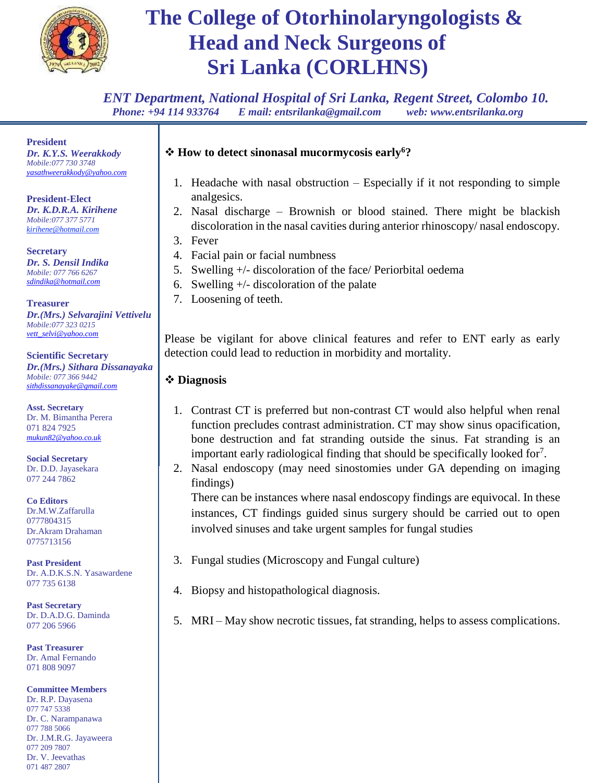

*ENT Department, National Hospital of Sri Lanka, Regent Street, Colombo 10. Phone: +94 114 933764 E mail: entsrilanka@gmail.com web: www.entsrilanka.org*

**President** *Dr. K.Y.S. Weerakkody Mobile:077 730 3748 [yasathweerakkody@yahoo.com](mailto:yasathweerakkody@yahoo.com)* 

**President-Elect** *Dr. K.D.R.A. Kirihene Mobile:077 377 5771 kirihene@hotmail.com*

**Secretary** *Dr. S. Densil Indika Mobile: 077 766 6267 [sdindika@hotmail.com](mailto:sdindika@hotmail.com)*

**Treasurer** *Dr.(Mrs.) Selvarajini Vettivelu Mobile:077 323 0215 [vett\\_selvi@yahoo.com](mailto:vett_selvi@yahoo.com)*

**Scientific Secretary** *Dr.(Mrs.) Sithara Dissanayaka Mobile: 077 366 9442 [sithdissanayake@gmail.com](mailto:sithdissanayake@gmail.com)*

**Asst. Secretary** Dr. M. Bimantha Perera 071 824 7925 *mukun82@yahoo.co.uk*

**Social Secretary** Dr. D.D. Jayasekara 077 244 7862

**Co Editors** Dr.M.W.Zaffarulla 0777804315 Dr.Akram Drahaman 0775713156

**Past President** Dr. A.D.K.S.N. Yasawardene 077 735 6138

**Past Secretary** Dr. D.A.D.G. Daminda 077 206 5966

**Past Treasurer** Dr. Amal Fernando 071 808 9097

**Committee Members**

Dr. R.P. Dayasena 077 747 5338 Dr. C. Narampanawa 077 788 5066 Dr. J.M.R.G. Jayaweera 077 209 7807 Dr. V. Jeevathas 071 487 2807

#### **How to detect sinonasal mucormycosis early<sup>6</sup>?**

- 1. Headache with nasal obstruction Especially if it not responding to simple analgesics.
- 2. Nasal discharge Brownish or blood stained. There might be blackish discoloration in the nasal cavities during anterior rhinoscopy/ nasal endoscopy.
- 3. Fever
- 4. Facial pain or facial numbness
- 5. Swelling +/- discoloration of the face/ Periorbital oedema
- 6. Swelling  $+/-$  discoloration of the palate
- 7. Loosening of teeth.

Please be vigilant for above clinical features and refer to ENT early as early detection could lead to reduction in morbidity and mortality.

#### **Diagnosis**

- 1. Contrast CT is preferred but non-contrast CT would also helpful when renal function precludes contrast administration. CT may show sinus opacification, bone destruction and fat stranding outside the sinus. Fat stranding is an important early radiological finding that should be specifically looked for<sup>7</sup>.
- 2. Nasal endoscopy (may need sinostomies under GA depending on imaging findings)

There can be instances where nasal endoscopy findings are equivocal. In these instances, CT findings guided sinus surgery should be carried out to open involved sinuses and take urgent samples for fungal studies

- 3. Fungal studies (Microscopy and Fungal culture)
- 4. Biopsy and histopathological diagnosis.
- 5. MRI May show necrotic tissues, fat stranding, helps to assess complications.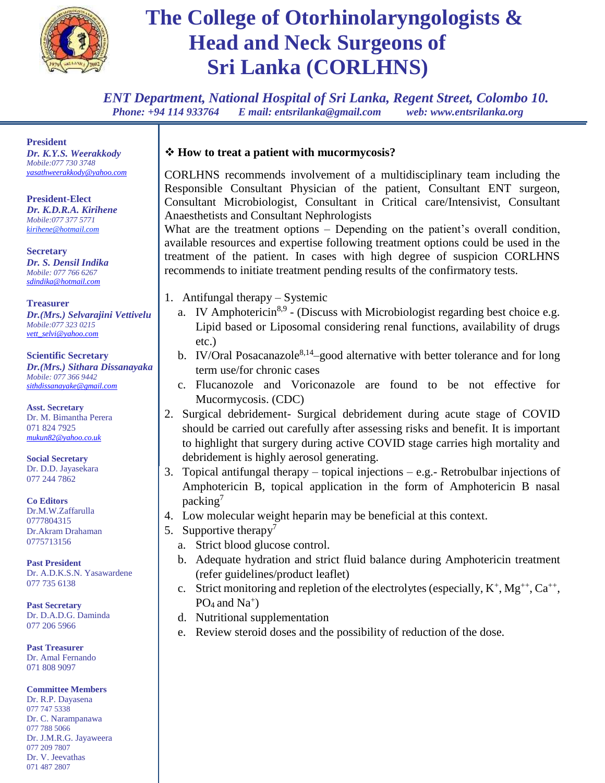

*ENT Department, National Hospital of Sri Lanka, Regent Street, Colombo 10. Phone: +94 114 933764 E mail: entsrilanka@gmail.com web: www.entsrilanka.org*

**President** *Dr. K.Y.S. Weerakkody Mobile:077 730 3748 [yasathweerakkody@yahoo.com](mailto:yasathweerakkody@yahoo.com)* 

**President-Elect** *Dr. K.D.R.A. Kirihene Mobile:077 377 5771 kirihene@hotmail.com*

**Secretary** *Dr. S. Densil Indika Mobile: 077 766 6267 [sdindika@hotmail.com](mailto:sdindika@hotmail.com)*

**Treasurer** *Dr.(Mrs.) Selvarajini Vettivelu Mobile:077 323 0215 [vett\\_selvi@yahoo.com](mailto:vett_selvi@yahoo.com)*

**Scientific Secretary** *Dr.(Mrs.) Sithara Dissanayaka Mobile: 077 366 9442 [sithdissanayake@gmail.com](mailto:sithdissanayake@gmail.com)*

**Asst. Secretary** Dr. M. Bimantha Perera 071 824 7925 *mukun82@yahoo.co.uk*

**Social Secretary** Dr. D.D. Jayasekara 077 244 7862

**Co Editors** Dr.M.W.Zaffarulla 0777804315 Dr.Akram Drahaman 0775713156

**Past President** Dr. A.D.K.S.N. Yasawardene 077 735 6138

**Past Secretary** Dr. D.A.D.G. Daminda 077 206 5966

**Past Treasurer** Dr. Amal Fernando 071 808 9097

**Committee Members**

Dr. R.P. Dayasena 077 747 5338 Dr. C. Narampanawa 077 788 5066 Dr. J.M.R.G. Jayaweera 077 209 7807 Dr. V. Jeevathas 071 487 2807

#### **How to treat a patient with mucormycosis?**

CORLHNS recommends involvement of a multidisciplinary team including the Responsible Consultant Physician of the patient, Consultant ENT surgeon, Consultant Microbiologist, Consultant in Critical care/Intensivist, Consultant Anaesthetists and Consultant Nephrologists

What are the treatment options – Depending on the patient's overall condition, available resources and expertise following treatment options could be used in the treatment of the patient. In cases with high degree of suspicion CORLHNS recommends to initiate treatment pending results of the confirmatory tests.

- 1. Antifungal therapy Systemic
	- a. IV Amphotericin<sup>8,9</sup> (Discuss with Microbiologist regarding best choice e.g. Lipid based or Liposomal considering renal functions, availability of drugs etc.)
	- b. IV/Oral Posacanazole<sup>8,14</sup>-good alternative with better tolerance and for long term use/for chronic cases
	- c. Flucanozole and Voriconazole are found to be not effective for Mucormycosis. (CDC)
- 2. Surgical debridement- Surgical debridement during acute stage of COVID should be carried out carefully after assessing risks and benefit. It is important to highlight that surgery during active COVID stage carries high mortality and debridement is highly aerosol generating.
- 3. Topical antifungal therapy topical injections e.g.- Retrobulbar injections of Amphotericin B, topical application in the form of Amphotericin B nasal packing<sup>7</sup>
- 4. Low molecular weight heparin may be beneficial at this context.
- 5. Supportive therapy<sup>7</sup>
	- a. Strict blood glucose control.
	- b. Adequate hydration and strict fluid balance during Amphotericin treatment (refer guidelines/product leaflet)
	- c. Strict monitoring and repletion of the electrolytes (especially,  $K^+$ ,  $Mg^{++}$ ,  $Ca^{++}$ ,  $PO<sub>4</sub>$  and  $Na<sup>+</sup>$ )
	- d. Nutritional supplementation
	- e. Review steroid doses and the possibility of reduction of the dose.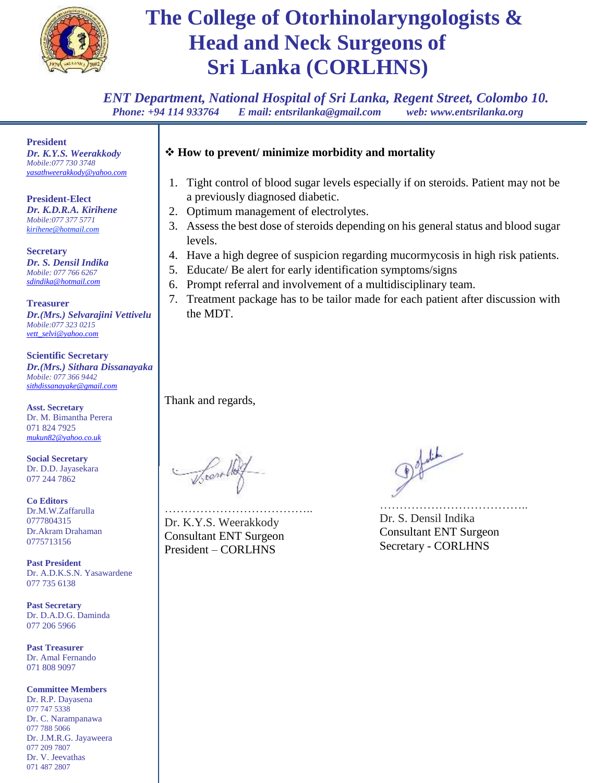

*ENT Department, National Hospital of Sri Lanka, Regent Street, Colombo 10. Phone: +94 114 933764 E mail: entsrilanka@gmail.com web: www.entsrilanka.org*

**President** *Dr. K.Y.S. Weerakkody Mobile:077 730 3748 [yasathweerakkody@yahoo.com](mailto:yasathweerakkody@yahoo.com)* 

**President-Elect** *Dr. K.D.R.A. Kirihene Mobile:077 377 5771 kirihene@hotmail.com*

**Secretary** *Dr. S. Densil Indika Mobile: 077 766 6267 [sdindika@hotmail.com](mailto:sdindika@hotmail.com)*

**Treasurer** *Dr.(Mrs.) Selvarajini Vettivelu Mobile:077 323 0215 [vett\\_selvi@yahoo.com](mailto:vett_selvi@yahoo.com)*

**Scientific Secretary** *Dr.(Mrs.) Sithara Dissanayaka Mobile: 077 366 9442 [sithdissanayake@gmail.com](mailto:sithdissanayake@gmail.com)*

**Asst. Secretary** Dr. M. Bimantha Perera 071 824 7925 *mukun82@yahoo.co.uk*

**Social Secretary** Dr. D.D. Jayasekara 077 244 7862

**Co Editors** Dr.M.W.Zaffarulla 0777804315 Dr.Akram Drahaman 0775713156

**Past President** Dr. A.D.K.S.N. Yasawardene 077 735 6138

**Past Secretary** Dr. D.A.D.G. Daminda 077 206 5966

**Past Treasurer** Dr. Amal Fernando 071 808 9097

#### **Committee Members**

Dr. R.P. Dayasena 077 747 5338 Dr. C. Narampanawa 077 788 5066 Dr. J.M.R.G. Jayaweera 077 209 7807 Dr. V. Jeevathas 071 487 2807

### **How to prevent/ minimize morbidity and mortality**

- 1. Tight control of blood sugar levels especially if on steroids. Patient may not be a previously diagnosed diabetic.
- 2. Optimum management of electrolytes.
- 3. Assess the best dose of steroids depending on his general status and blood sugar levels.
- 4. Have a high degree of suspicion regarding mucormycosis in high risk patients.
- 5. Educate/ Be alert for early identification symptoms/signs
- 6. Prompt referral and involvement of a multidisciplinary team.
- 7. Treatment package has to be tailor made for each patient after discussion with the MDT.

Thank and regards,

…………………………………… Dr. K.Y.S. Weerakkody Consultant ENT Surgeon President – CORLHNS

Defaling

……………………………….. Dr. S. Densil Indika Consultant ENT Surgeon Secretary - CORLHNS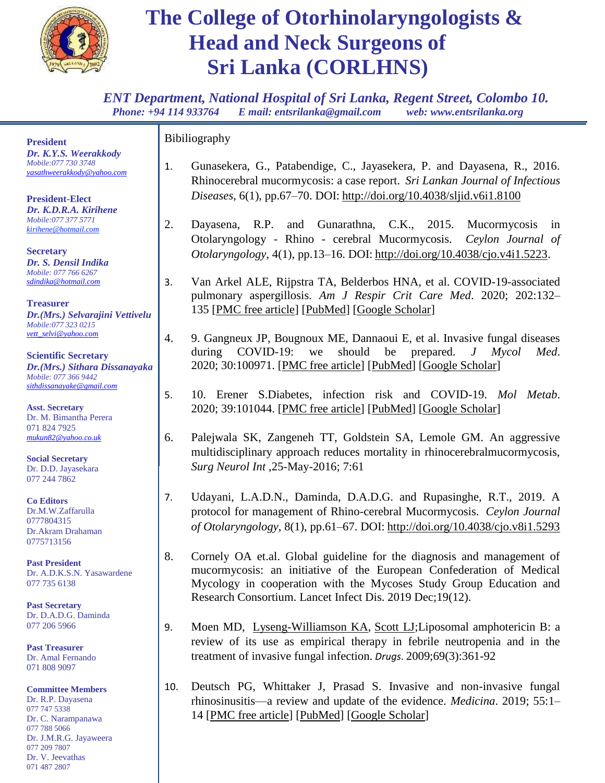

*ENT Department, National Hospital of Sri Lanka, Regent Street, Colombo 10. Phone: +94 114 933764 E mail: entsrilanka@gmail.com web: www.entsrilanka.org*

**President** *Dr. K.Y.S. Weerakkody Mobile:077 730 3748 [yasathweerakkody@yahoo.com](mailto:yasathweerakkody@yahoo.com)* 

**President-Elect** *Dr. K.D.R.A. Kirihene Mobile:077 377 5771 kirihene@hotmail.com*

**Secretary** *Dr. S. Densil Indika Mobile: 077 766 6267 [sdindika@hotmail.com](mailto:sdindika@hotmail.com)*

**Treasurer** *Dr.(Mrs.) Selvarajini Vettivelu Mobile:077 323 0215 [vett\\_selvi@yahoo.com](mailto:vett_selvi@yahoo.com)*

**Scientific Secretary** *Dr.(Mrs.) Sithara Dissanayaka Mobile: 077 366 9442 [sithdissanayake@gmail.com](mailto:sithdissanayake@gmail.com)*

**Asst. Secretary** Dr. M. Bimantha Perera 071 824 7925 *mukun82@yahoo.co.uk*

**Social Secretary** Dr. D.D. Jayasekara 077 244 7862

**Co Editors** Dr.M.W.Zaffarulla 0777804315 Dr.Akram Drahaman 0775713156

**Past President** Dr. A.D.K.S.N. Yasawardene 077 735 6138

**Past Secretary** Dr. D.A.D.G. Daminda 077 206 5966

**Past Treasurer** Dr. Amal Fernando 071 808 9097

**Committee Members** Dr. R.P. Dayasena 077 747 5338 Dr. C. Narampanawa 077 788 5066 Dr. J.M.R.G. Jayaweera 077 209 7807 Dr. V. Jeevathas 071 487 2807

Bibiliography

- 1. Gunasekera, G., Patabendige, C., Jayasekera, P. and Dayasena, R., 2016. Rhinocerebral mucormycosis: a case report. *Sri Lankan Journal of Infectious Diseases*, 6(1), pp.67–70. DOI: <http://doi.org/10.4038/sljid.v6i1.8100>
- 2. Dayasena, R.P. and Gunarathna, C.K., 2015. Mucormycosis in Otolaryngology - Rhino - cerebral Mucormycosis. *Ceylon Journal of Otolaryngology*, 4(1), pp.13–16. DOI: [http://doi.org/10.4038/cjo.v4i1.5223.](http://doi.org/10.4038/cjo.v4i1.5223)
- 3. Van Arkel ALE, Rijpstra TA, Belderbos HNA, et al. COVID-19-associated pulmonary aspergillosis. *Am J Respir Crit Care Med*. 2020; 202:132– 135 [\[PMC free article\]](https://www.ncbi.nlm.nih.gov/pmc/articles/PMC7328331/) [\[PubMed\]](https://www.ncbi.nlm.nih.gov/pubmed/32396381) [\[Google Scholar\]](https://scholar.google.com/scholar_lookup?journal=Am+J+Respir+Crit+Care+Med&title=COVID-19-associated+pulmonary+aspergillosis.&author=ALE+van+Arkel&author=TA+Rijpstra&author=HNA+Belderbos&volume=202&publication_year=2020&pages=132-135&pmid=32396381&)
- 4. 9. Gangneux JP, Bougnoux ME, Dannaoui E, et al. Invasive fungal diseases during COVID-19: we should be prepared. *J Mycol Med*. 2020; 30:100971. [\[PMC free article\]](https://www.ncbi.nlm.nih.gov/pmc/articles/PMC7136887/) [\[PubMed\]](https://www.ncbi.nlm.nih.gov/pubmed/32307254) [\[Google Scholar\]](https://scholar.google.com/scholar_lookup?journal=J+Mycol+Med&title=Invasive+fungal+diseases+during+COVID-19:+we+should+be+prepared.&author=JP+Gangneux&author=ME+Bougnoux&author=E+Dannaoui&volume=30&publication_year=2020&pages=100971&pmid=32307254&)
- 5. 10. Erener S.Diabetes, infection risk and COVID-19. *Mol Metab*. 2020; 39:101044. [\[PMC free article\]](https://www.ncbi.nlm.nih.gov/pmc/articles/PMC7308743/) [\[PubMed\]](https://www.ncbi.nlm.nih.gov/pubmed/32585364) [\[Google Scholar\]](https://scholar.google.com/scholar_lookup?journal=Mol+Metab&title=Diabetes,+infection+risk+and+COVID-19.&author=S+Erener&volume=39&publication_year=2020&pages=101044&pmid=32585364&)
- 6. Palejwala SK, Zangeneh TT, Goldstein SA, Lemole GM. An aggressive multidisciplinary approach reduces mortality in rhinocerebralmucormycosis, *Surg Neurol Int* ,25-May-2016; 7:61
- 7. Udayani, L.A.D.N., Daminda, D.A.D.G. and Rupasinghe, R.T., 2019. A protocol for management of Rhino-cerebral Mucormycosis. *Ceylon Journal of Otolaryngology*, 8(1), pp.61–67. DOI: <http://doi.org/10.4038/cjo.v8i1.5293>
- 8. Cornely OA et.al. Global guideline for the diagnosis and management of mucormycosis: an initiative of the European Confederation of Medical Mycology in cooperation with the Mycoses Study Group Education and Research Consortium. Lancet Infect Dis. 2019 Dec;19(12).
- 9. Moen MD, [Lyseng-Williamson KA,](https://www.ncbi.nlm.nih.gov/pubmed/?term=Lyseng-Williamson%20KA%5BAuthor%5D&cauthor=true&cauthor_uid=19275278) [Scott LJ;](https://www.ncbi.nlm.nih.gov/pubmed/?term=Scott%20LJ%5BAuthor%5D&cauthor=true&cauthor_uid=19275278) Liposomal amphotericin B: a review of its use as empirical therapy in febrile neutropenia and in the treatment of invasive fungal infection. *Drugs*. 2009;69(3):361-92
- 10. Deutsch PG, Whittaker J, Prasad S. Invasive and non-invasive fungal rhinosinusitis—a review and update of the evidence. *Medicina*. 2019; 55:1– 14 [\[PMC free article\]](https://www.ncbi.nlm.nih.gov/pmc/articles/PMC6681352/) [\[PubMed\]](https://www.ncbi.nlm.nih.gov/pubmed/31261788) [\[Google Scholar\]](https://scholar.google.com/scholar_lookup?journal=Medicina&title=Invasive+and+non-invasive+fungal+rhinosinusitis%E2%80%94a+review+and+update+of+the+evidence.&author=PG+Deutsch&author=J+Whittaker&author=S+Prasad&volume=55&publication_year=2019&pages=1-14&)